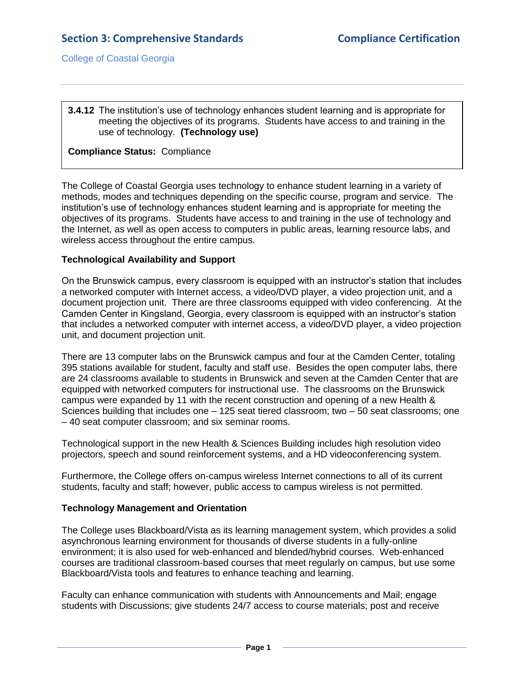#### **3.4.12** The institution's use of technology enhances student learning and is appropriate for meeting the objectives of its programs. Students have access to and training in the use of technology. **(Technology use)**

## **Compliance Status:** Compliance

The College of Coastal Georgia uses technology to enhance student learning in a variety of methods, modes and techniques depending on the specific course, program and service. The institution's use of technology enhances student learning and is appropriate for meeting the objectives of its programs. Students have access to and training in the use of technology and the Internet, as well as open access to computers in public areas, learning resource labs, and wireless access throughout the entire campus.

# **Technological Availability and Support**

On the Brunswick campus, every classroom is equipped with an instructor's station that includes a networked computer with Internet access, a video/DVD player, a video projection unit, and a document projection unit. There are three classrooms equipped with video conferencing. At the Camden Center in Kingsland, Georgia, every classroom is equipped with an instructor's station that includes a networked computer with internet access, a video/DVD player, a video projection unit, and document projection unit.

There are 13 computer labs on the Brunswick campus and four at the Camden Center, totaling 395 stations available for student, faculty and staff use. Besides the open computer labs, there are 24 classrooms available to students in Brunswick and seven at the Camden Center that are equipped with networked computers for instructional use. The classrooms on the Brunswick campus were expanded by 11 with the recent construction and opening of a new Health & Sciences building that includes one – 125 seat tiered classroom; two – 50 seat classrooms; one – 40 seat computer classroom; and six seminar rooms.

Technological support in the new Health & Sciences Building includes high resolution video projectors, speech and sound reinforcement systems, and a HD videoconferencing system.

Furthermore, the College offers on-campus wireless Internet connections to all of its current students, faculty and staff; however, public access to campus wireless is not permitted.

#### **Technology Management and Orientation**

The College uses Blackboard/Vista as its learning management system, which provides a solid asynchronous learning environment for thousands of diverse students in a fully-online environment; it is also used for web-enhanced and blended/hybrid courses. Web-enhanced courses are traditional classroom-based courses that meet regularly on campus, but use some Blackboard/Vista tools and features to enhance teaching and learning.

Faculty can enhance communication with students with Announcements and Mail; engage students with Discussions; give students 24/7 access to course materials; post and receive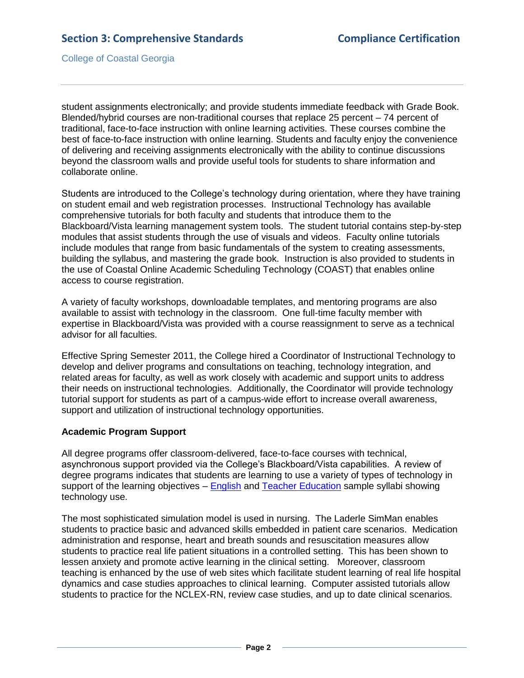student assignments electronically; and provide students immediate feedback with Grade Book. Blended/hybrid courses are non-traditional courses that replace 25 percent – 74 percent of traditional, face-to-face instruction with online learning activities. These courses combine the best of face-to-face instruction with online learning. Students and faculty enjoy the convenience of delivering and receiving assignments electronically with the ability to continue discussions beyond the classroom walls and provide useful tools for students to share information and collaborate online.

Students are introduced to the College's technology during orientation, where they have training on student email and web registration processes. Instructional Technology has available comprehensive tutorials for both faculty and students that introduce them to the Blackboard/Vista learning management system tools. The student tutorial contains step-by-step modules that assist students through the use of visuals and videos. Faculty online tutorials include modules that range from basic fundamentals of the system to creating assessments, building the syllabus, and mastering the grade book. Instruction is also provided to students in the use of [Coastal Online Academic Scheduling Technology](http://www.ccga.edu/COAST/login.asp) (COAST) that enables online access to course registration.

A variety of faculty workshops, downloadable templates, and mentoring programs are also available to assist with technology in the classroom. One full-time faculty member with expertise in Blackboard/Vista was provided with a course reassignment to serve as a technical advisor for all faculties.

Effective Spring Semester 2011, the College hired a Coordinator of Instructional Technology to develop and deliver programs and consultations on teaching, technology integration, and related areas for faculty, as well as work closely with academic and support units to address their needs on instructional technologies. Additionally, the Coordinator will provide technology tutorial support for students as part of a campus-wide effort to increase overall awareness, support and utilization of instructional technology opportunities.

#### **Academic Program Support**

All degree programs offer classroom-delivered, face-to-face courses with technical, asynchronous support provided via the College's Blackboard/Vista capabilities. A review of degree programs indicates that students are learning to use a variety of types of technology in support of the learning objectives – [English](3.4.12.aEnglishSyllabiTechSample.pdf#page=1) and [Teacher Education](3.4.12.bTeacherEdSyllabiTechSample.pdf#page=1) sample syllabi showing technology use.

The most sophisticated simulation model is used in nursing. The Laderle SimMan enables students to practice basic and advanced skills embedded in patient care scenarios. Medication administration and response, heart and breath sounds and resuscitation measures allow students to practice real life patient situations in a controlled setting. This has been shown to lessen anxiety and promote active learning in the clinical setting. Moreover, classroom teaching is enhanced by the use of web sites which facilitate student learning of real life hospital dynamics and case studies approaches to clinical learning. Computer assisted tutorials allow students to practice for the NCLEX-RN, review case studies, and up to date clinical scenarios.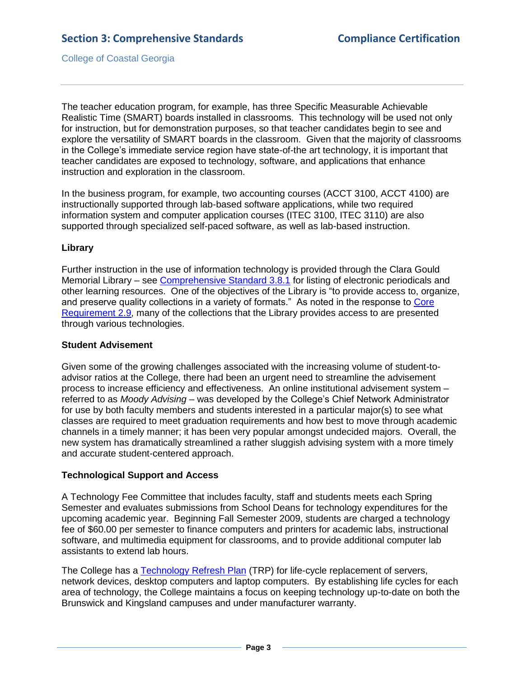The teacher education program, for example, has three Specific Measurable Achievable Realistic Time (SMART) boards installed in classrooms. This technology will be used not only for instruction, but for demonstration purposes, so that teacher candidates begin to see and explore the versatility of SMART boards in the classroom. Given that the majority of classrooms in the College's immediate service region have state-of-the art technology, it is important that teacher candidates are exposed to technology, software, and applications that enhance instruction and exploration in the classroom.

In the business program, for example, two accounting courses (ACCT 3100, ACCT 4100) are instructionally supported through lab-based software applications, while two required information system and computer application courses (ITEC 3100, ITEC 3110) are also supported through specialized self-paced software, as well as lab-based instruction.

## **Library**

Further instruction in the use of information technology is provided through the Clara Gould Memorial Library – see [Comprehensive Standard](3.8.1.pdf#page=1) 3.8.1 for listing of electronic periodicals and other learning resources. One of the objectives of the Library is "to provide access to, organize, and preserve quality collections in a variety of formats." As noted in the response to [Core](2.9.pdf#page=1)  [Requirement 2.9,](2.9.pdf#page=1) many of the collections that the Library provides access to are presented through various technologies.

#### **Student Advisement**

Given some of the growing challenges associated with the increasing volume of student-toadvisor ratios at the College, there had been an urgent need to streamline the advisement process to increase efficiency and effectiveness. An online institutional advisement system – referred to as *Moody Advising* – was developed by the College's Chief Network Administrator for use by both faculty members and students interested in a particular major(s) to see what classes are required to meet graduation requirements and how best to move through academic channels in a timely manner; it has been very popular amongst undecided majors. Overall, the new system has dramatically streamlined a rather sluggish advising system with a more timely and accurate student-centered approach.

# **Technological Support and Access**

A Technology Fee Committee that includes faculty, staff and students meets each Spring Semester and evaluates submissions from School Deans for technology expenditures for the upcoming academic year. Beginning Fall Semester 2009, students are charged a technology fee of \$60.00 per semester to finance computers and printers for academic labs, instructional software, and multimedia equipment for classrooms, and to provide additional computer lab assistants to extend lab hours.

The College has a [Technology Refresh Plan](3.4.12.cTechnologyRefreshPlan.pdf#page=1) (TRP) for life-cycle replacement of servers, network devices, desktop computers and laptop computers. By establishing life cycles for each area of technology, the College maintains a focus on keeping technology up-to-date on both the Brunswick and Kingsland campuses and under manufacturer warranty.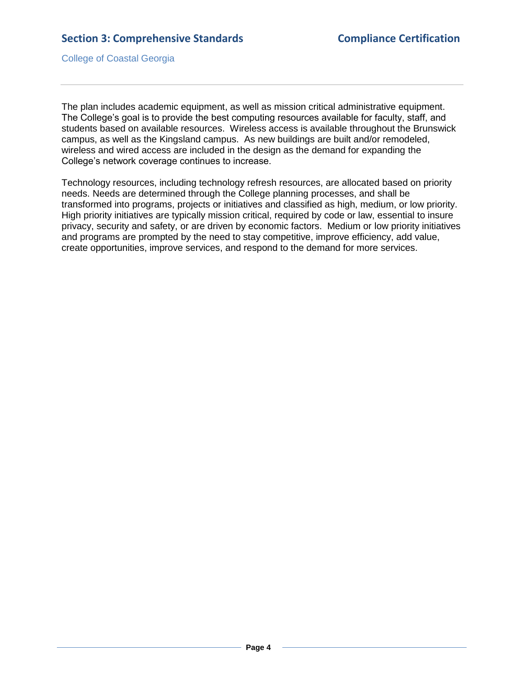The plan includes academic equipment, as well as mission critical administrative equipment. The College's goal is to provide the best computing resources available for faculty, staff, and students based on available resources. Wireless access is available throughout the Brunswick campus, as well as the Kingsland campus. As new buildings are built and/or remodeled, wireless and wired access are included in the design as the demand for expanding the College's network coverage continues to increase.

Technology resources, including technology refresh resources, are allocated based on priority needs. Needs are determined through the College planning processes, and shall be transformed into programs, projects or initiatives and classified as high, medium, or low priority. High priority initiatives are typically mission critical, required by code or law, essential to insure privacy, security and safety, or are driven by economic factors. Medium or low priority initiatives and programs are prompted by the need to stay competitive, improve efficiency, add value, create opportunities, improve services, and respond to the demand for more services.